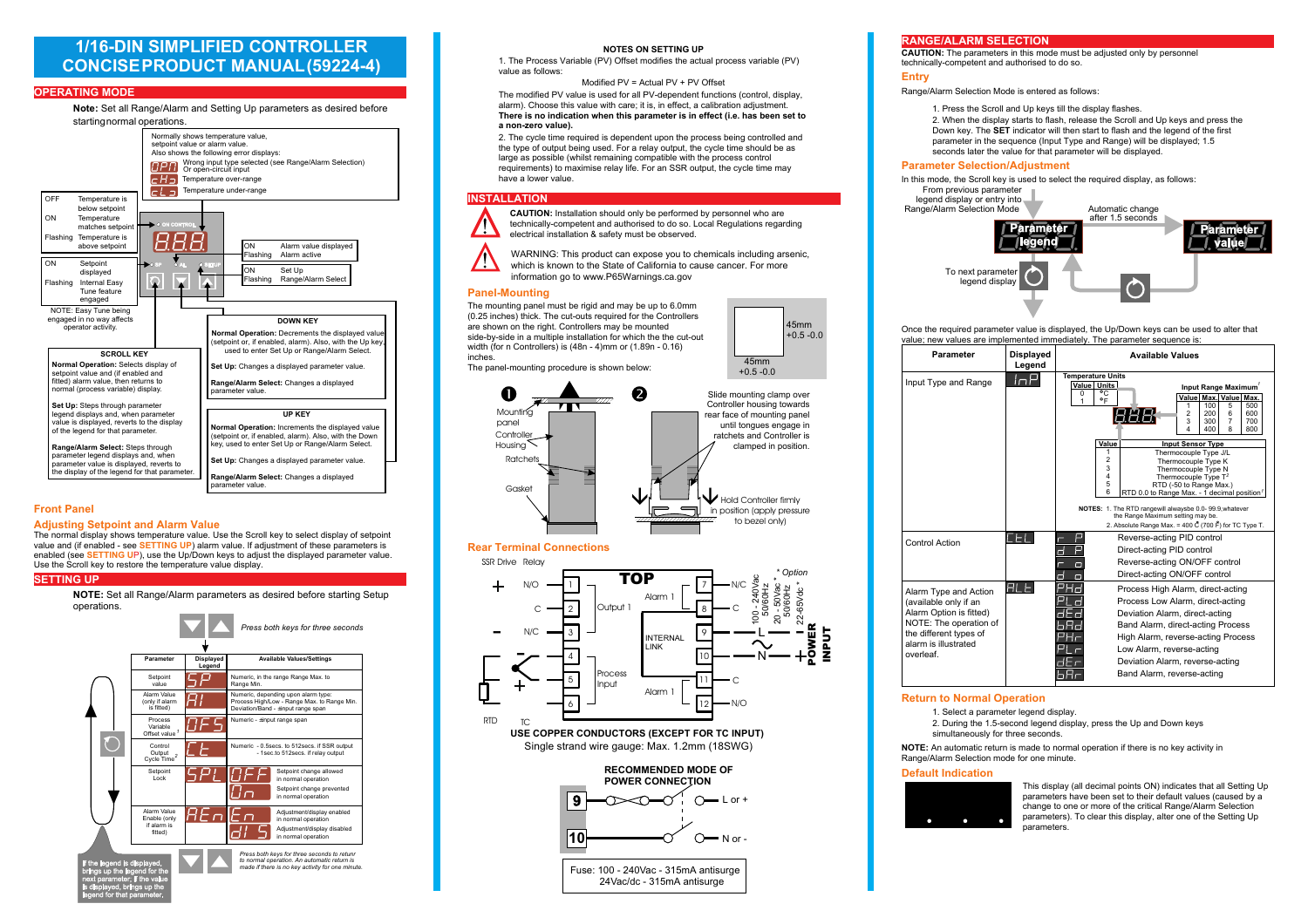## 1/16-DIN6IMPLIFIEDCONTROLLER **CONCISE PRODUCTMANUAL (59224-5)**

### **OPERATING MODE**



## **Front Panel**

#### **Adiusting Setpoint and Alarm Value**

The normal display shows temperature value. Use the Scroll key to select display of setpoint value and (if enabled - see **SETTING UP)** alarm value. If adjustment of these parameters is enabled (see SETTING UP), use the Up/Down keys to adjust the displayed parameter value. Use the Scroll key to restore the temperature value display.

#### **SETTING UP**

#### NOTE:6HWDOO5DHODUPSDUDPHWHUVDVGHVLUHGEHIRUHVWDUWL6HW **RSHUDWLRV**



#### 12/6216/13

KH3URFHVV9DULDEOH392IIVHWPRGLILHVWKHDFWXDOSURFHVVYDULDEOH39 **YDOXHDVIROORV** 

#### 0RGLILHG39 FWXDO39392IIVHW

KHPRGLILHG39YDOXHLVXVHGIRUDOO39GHSHGHWIXEWLRVERWUROGLVSOD DODUPKRRVHWKLVYDOXHLWKFDUHLWLVLHIIHFWDFDOLEUDWLRDGMXVWPHW KHIJHI VRI GI EDWI RKHWKI VSDIJDPHWHIJI VI HIJHEWI HKDVEHHVHWWR **DRHURYDOXH** 

KHFFOHWLPHUHTXLUHGLVGHSHGHWXSRWKHSURFHVVEHLFRWUROOHGDG WKHWSHRIRXWSXWEHLXVHG)RUDUHODRXWSXWWKHFFOHWLPHVKRXOGEHDV ODUHDVSRVVI FOHKI OVWUHPDI I FRPSDWI FOHLWKWKHSURFHVVFRWURO UHTXLUHPHWVWRPDLPLVHUHODOLIH)RUD665RXWSXWWKHFFOHWLPHPD **KDYHDORHUYDOXH** 

#### **INSTALLATION**





#### **Panel-Mounting**



#### **Rear Terminal Connections**



## **RANGE/ALARM SELECTION**

#### CAUTION: KHSDUDPHWHUVLWKLVPRGHPXVWEHDGMXVWHGROESHUVRHO WHEKI FDOOFRPSHWHWDGDXWKRUI VHGWRGRVR

#### Entry

- 5DHODUP6HOHFWLR0RGHLVHWHUHGDVIROORV
	- 3UHVVWKH6FUROODGSNHVWLOOWKHGLVSODIODVKHV
	- :KHWKHGLVSODVWDUWVWRIODVKUHOHDVHWKH6FUROODGSNHVDGSUHVVWKH RNHKH6(LGLFDWRULOOWKHVWDUWWRIODVKDGWKHOHHGRIWKHILUVW SDUDPHWHULWKHVHTXHFHSXWSHDG5DHLOOEHGLVSODHG VHFRGVODWHUWKHYDOXHIRUWKDWSDUDPHWHULOOEHGLVSODHG

#### 3DUDPHWHU6HOHFWLRGMXVWPHW

#### WKLVPRGHWKH6FUROONHLVXVHGWRVHOHFWWKHUHTXLUHGGLVSODDVIROORV From previous parameter



#### 2FHWKHUHTXLUHGSDUDPHWHUYDOXHLVGLVSODHGWKHSRNHVFDEHXVHGWRDOWHUWKD YDOXHHYDOXHVDUHLPSOHPHWHGLPPHGLDWHOKHSDUDPHWHUVHTXHFHLV



#### **Return to Normal Operation**

- 1. Select a parameter legend display.
- 2. During the 1.5-second legend display, press the Up and Down keys simultaneously for three seconds.

NOTE: An automatic return is made to normal operation if there is no key activity in Range/Alarm Selection mode for one minute.

#### **Default Indication**



This display (all decimal points ON) indicates that all Setting Up parameters have been set to their default values (caused by a change to one or more of the critical Range/Alarm Selection parameters). To clear this display, alter one of the Setting Up naramatare